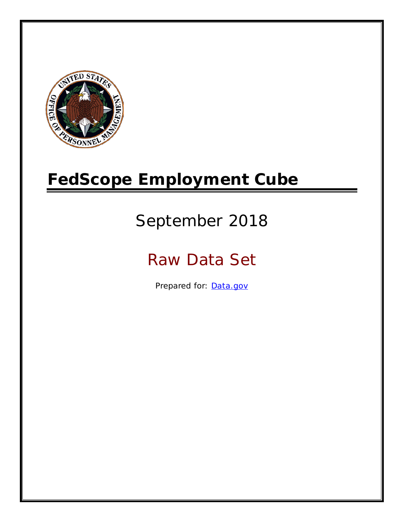

# **FedScope Employment Cube**

# September 2018

# Raw Data Set

Prepared for: [Data.gov](http://www.data.gov/)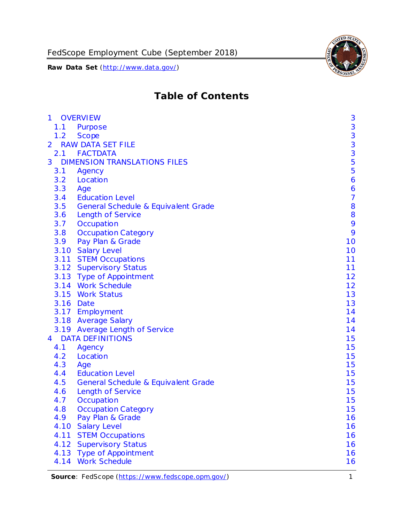

# **Table of Contents**

| $\mathbf{1}$   |      | <b>OVERVIEW</b>                     | 3                                          |
|----------------|------|-------------------------------------|--------------------------------------------|
|                | 1.1  | Purpose                             | 3                                          |
|                | 1.2  | <b>Scope</b>                        |                                            |
| $\overline{2}$ |      | <b>RAW DATA SET FILE</b>            | $\begin{array}{c} 3 \\ 3 \\ 3 \end{array}$ |
|                |      | 2.1 FACTDATA                        |                                            |
| 3              |      | <b>DIMENSION TRANSLATIONS FILES</b> | 5                                          |
|                | 3.1  | Agency                              | 5                                          |
|                | 3.2  | Location                            | 6                                          |
|                | 3.3  | Age                                 | 6                                          |
|                | 3.4  | <b>Education Level</b>              | $\overline{7}$                             |
|                | 3.5  | General Schedule & Equivalent Grade | 8                                          |
|                | 3.6  | <b>Length of Service</b>            | 8                                          |
|                | 3.7  | Occupation                          | 9                                          |
|                | 3.8  | <b>Occupation Category</b>          | 9                                          |
|                | 3.9  | Pay Plan & Grade                    | 10                                         |
|                |      | 3.10 Salary Level                   | 10                                         |
|                |      | 3.11 STEM Occupations               | 11                                         |
|                |      | 3.12 Supervisory Status             | 11                                         |
|                |      | 3.13 Type of Appointment            | 12                                         |
|                |      | 3.14 Work Schedule                  | 12                                         |
|                |      | 3.15 Work Status                    | 13                                         |
|                |      | 3.16 Date                           | 13                                         |
|                |      | 3.17 Employment                     | 14                                         |
|                |      | 3.18 Average Salary                 | 14                                         |
|                |      | 3.19 Average Length of Service      | 14                                         |
| $\overline{4}$ |      | <b>DATA DEFINITIONS</b>             | 15                                         |
|                | 4.1  | Agency                              | 15                                         |
|                | 4.2  | Location                            | 15                                         |
|                | 4.3  | Age                                 | 15                                         |
|                | 4.4  | <b>Education Level</b>              | 15                                         |
|                | 4.5  | General Schedule & Equivalent Grade | 15                                         |
|                | 4.6  | <b>Length of Service</b>            | 15                                         |
|                | 4.7  | Occupation                          | 15                                         |
|                | 4.8  | <b>Occupation Category</b>          | 15                                         |
|                | 4.9  | Pay Plan & Grade                    | 16                                         |
|                | 4.10 | <b>Salary Level</b>                 | 16                                         |
|                | 4.11 | <b>STEM Occupations</b>             | 16                                         |
|                | 4.12 | <b>Supervisory Status</b>           | 16                                         |
|                | 4.13 | <b>Type of Appointment</b>          | 16                                         |
|                |      | 4.14 Work Schedule                  | 16                                         |

**Source**: FedScope [\(https://www.fedscope.opm.gov/\)](https://www.fedscope.opm.gov/) 1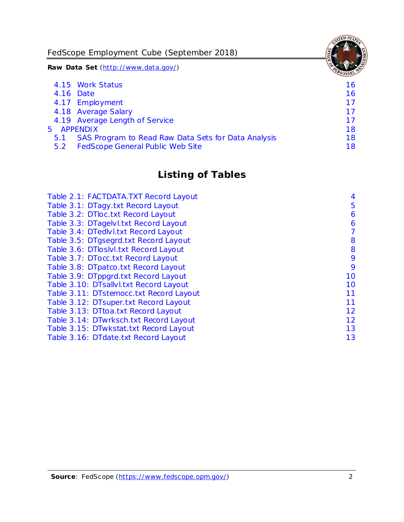FedScope Employment Cube (September 2018)

**Raw Data Set** (http://www.data.gov/)

|            | 4.15 Work Status                                    | 16 |
|------------|-----------------------------------------------------|----|
|            | 4.16 Date                                           | 16 |
|            | 4.17 Employment                                     | 17 |
|            | 4.18 Average Salary                                 | 17 |
|            | 4.19 Average Length of Service                      | 17 |
| 5 APPENDIX |                                                     | 18 |
| 5.1        | SAS Program to Read Raw Data Sets for Data Analysis | 18 |
| 5.2        | <b>FedScope General Public Web Site</b>             | 18 |
|            |                                                     |    |

# **Listing of Tables**

| Table 2.1: FACTDATA.TXT Record Layout   | $\overline{4}$ |
|-----------------------------------------|----------------|
| Table 3.1: DTagy.txt Record Layout      | 5              |
| Table 3.2: DTloc.txt Record Layout      | 6              |
| Table 3.3: DTagelvl.txt Record Layout   | 6              |
| Table 3.4: DTedlvl.txt Record Layout    | 7              |
| Table 3.5: DTgsegrd.txt Record Layout   | 8              |
| Table 3.6: DTloslvI.txt Record Layout   | 8              |
| Table 3.7: DTocc.txt Record Layout      | 9              |
| Table 3.8: DTpatco.txt Record Layout    | 9              |
| Table 3.9: DTppgrd.txt Record Layout    | 10             |
| Table 3.10: DTsallvl.txt Record Layout  | 10             |
| Table 3.11: DTstemocc.txt Record Layout | 11             |
| Table 3.12: DTsuper.txt Record Layout   | 11             |
| Table 3.13: DTtoa.txt Record Layout     | 12             |
| Table 3.14: DTwrksch.txt Record Layout  | 12             |
| Table 3.15: DTwkstat.txt Record Layout  | 13             |
| Table 3.16: DTdate.txt Record Layout    | 13             |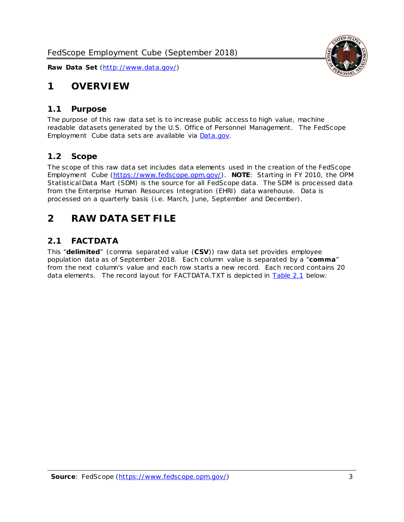

# <span id="page-3-0"></span>**1 OVERVIEW**

#### <span id="page-3-1"></span>*1.1 Purpose*

The purpose of this raw data set is to increase public access to high value, machine readable datasets generated by the U.S. Office of Personnel Management. The FedScope Employment Cube data sets are available via [Data.gov.](http://www.data.gov/)

#### <span id="page-3-2"></span>*1.2 Scope*

The scope of this raw data set includes data elements used in the creation of the FedScope Employment Cube [\(https://www.fedscope.opm.gov/\)](https://www.fedscope.opm.gov/). **NOTE**: Starting in FY 2010, the OPM Statistical Data Mart (SDM) is the source for all FedScope data. The SDM is processed data from the Enterprise Human Resources Integration (EHRI) data warehouse. Data is processed on a quarterly basis (i.e. March, June, September and December).

# <span id="page-3-3"></span>**2 RAW DATA SET FILE**

# <span id="page-3-4"></span>*2.1 FACTDATA*

This "**delimited**" (comma separated value (**CSV**)) raw data set provides employee population data as of September 2018. Each column value is separated by a "**comma**" from the next column's value and each row starts a new record. Each record contains 20 data elements. The record layout for FACTDATA.TXT is depicted in **Table 2.1** below: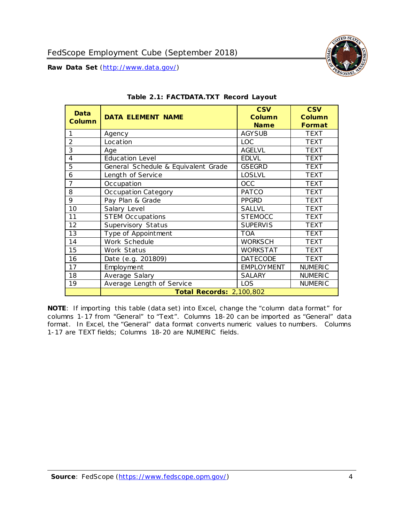

<span id="page-4-0"></span>

| Data<br><b>Column</b> | <b>DATA ELEMENT NAME</b>            | <b>CSV</b><br><b>Column</b><br><b>Name</b> | <b>CSV</b><br><b>Column</b><br><b>Format</b> |
|-----------------------|-------------------------------------|--------------------------------------------|----------------------------------------------|
| 1                     | Agency                              | <b>AGY SUB</b>                             | <b>TEXT</b>                                  |
| $\overline{2}$        | Location                            | <b>LOC</b>                                 | <b>TEXT</b>                                  |
| 3                     | Age                                 | <b>AGELVL</b>                              | <b>TEXT</b>                                  |
| 4                     | <b>Education Level</b>              | <b>EDLVL</b>                               | <b>TEXT</b>                                  |
| 5                     | General Schedule & Equivalent Grade | <b>GSEGRD</b>                              | <b>TEXT</b>                                  |
| 6                     | Length of Service                   | <b>LOSLVL</b>                              | <b>TEXT</b>                                  |
| 7                     | Occupation                          | <b>OCC</b>                                 | <b>TEXT</b>                                  |
| 8                     | Occupation Category                 | <b>PATCO</b>                               | <b>TEXT</b>                                  |
| 9                     | Pay Plan & Grade                    | <b>PPGRD</b>                               | <b>TEXT</b>                                  |
| 10                    | Salary Level                        | <b>SALLVL</b>                              | <b>TEXT</b>                                  |
| 11                    | <b>STEM Occupations</b>             | <b>STEMOCC</b>                             | <b>TEXT</b>                                  |
| 12                    | Supervisory Status                  | <b>SUPERVIS</b>                            | <b>TEXT</b>                                  |
| 13                    | Type of Appointment                 | <b>TOA</b>                                 | <b>TEXT</b>                                  |
| 14                    | Work Schedule                       | <b>WORKSCH</b>                             | <b>TEXT</b>                                  |
| 15                    | Work Status                         | <b>WORKSTAT</b>                            | <b>TEXT</b>                                  |
| 16                    | Date (e.g. 201809)                  | <b>DATECODE</b>                            | <b>TEXT</b>                                  |
| 17                    | Employment                          | <b>EMPLOYMENT</b>                          | <b>NUMERIC</b>                               |
| 18                    | Average Salary                      | <b>SALARY</b>                              | <b>NUMERIC</b>                               |
| 19                    | Average Length of Service           | LOS                                        | <b>NUMERIC</b>                               |
|                       | <b>Total Records: 2,100,802</b>     |                                            |                                              |

|  | Table 2.1: FACTDATA.TXT Record Layout |  |
|--|---------------------------------------|--|
|  |                                       |  |

**NOTE**: If importing this table (data set) into Excel, change the "column data format" for columns 1-17 from "General" to "Text". Columns 18-20 can be imported as "General" data format. In Excel, the "General" data format converts numeric values to numbers. Columns 1-17 are TEXT fields; Columns 18-20 are NUMERIC fields.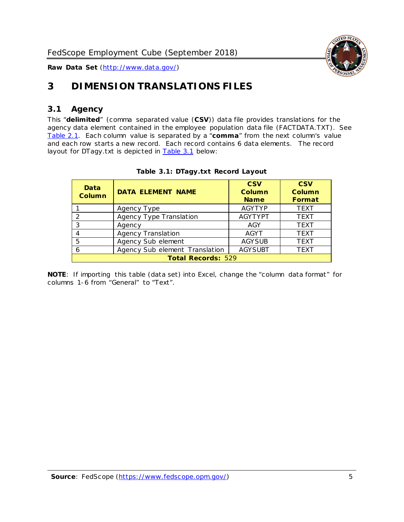

# <span id="page-5-0"></span>**3 DIMENSION TRANSLATIONS FILES**

# <span id="page-5-1"></span>*3.1 Agency*

This "**delimited**" (comma separated value (**CSV**)) data file provides translations for the agency data element contained in the employee population data file (FACTDATA.TXT). See [Table 2.1.](#page-4-0) Each column value is separated by a "**comma**" from the next column's value and each row starts a new record. Each record contains 6 data elements. The record layout for DTagy.txt is depicted in [Table 3.1](#page-5-2) below:

<span id="page-5-2"></span>

| Data<br><b>Column</b> | <b>DATA ELEMENT NAME</b>       | <b>CSV</b><br>Column<br><b>Name</b> | <b>CSV</b><br><b>Column</b><br><b>Format</b> |  |  |  |
|-----------------------|--------------------------------|-------------------------------------|----------------------------------------------|--|--|--|
|                       | Agency Type                    | <b>AGYTYP</b>                       | <b>TEXT</b>                                  |  |  |  |
|                       | Agency Type Translation        | <b>AGYTYPT</b>                      | <b>TEXT</b>                                  |  |  |  |
| 3                     | Agency                         | AGY                                 | <b>TEXT</b>                                  |  |  |  |
|                       | Agency Translation             | <b>AGYT</b>                         | <b>TEXT</b>                                  |  |  |  |
| 5                     | Agency Sub element             | <b>AGYSUB</b>                       | <b>TEXT</b>                                  |  |  |  |
|                       | Agency Sub element Translation | <b>AGY SUBT</b>                     | <b>TEXT</b>                                  |  |  |  |
|                       | <b>Total Records: 529</b>      |                                     |                                              |  |  |  |

#### **Table 3.1: DTagy.txt Record Layout**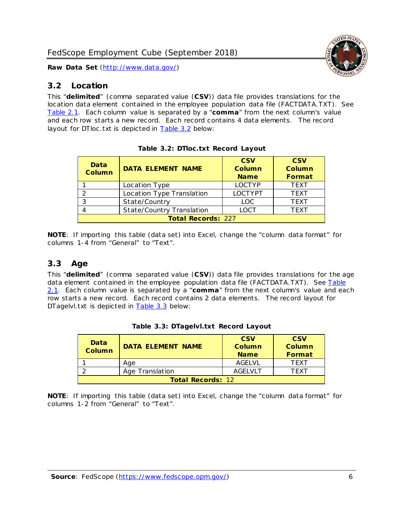

### <span id="page-6-0"></span>*3.2 Location*

This "**delimited**" (comma separated value (**CSV**)) data file provides translations for the location data element contained in the employee population data file (FACTDATA.TXT). See [Table 2.1.](#page-4-0) Each column value is separated by a "**comma**" from the next column's value and each row starts a new record. Each record contains 4 data elements. The record layout for DTloc .txt is depicted in [Table 3.2](#page-6-2) below:

<span id="page-6-2"></span>

| Data<br><b>Column</b>     | <b>DATA ELEMENT NAME</b>         | <b>CSV</b><br><b>Column</b><br><b>Name</b> | <b>CSV</b><br>Column<br>Format |  |  |
|---------------------------|----------------------------------|--------------------------------------------|--------------------------------|--|--|
|                           | Location Type                    | <b>LOCTYP</b>                              | <b>TFXT</b>                    |  |  |
| ົ                         | Location Type Translation        | <b>LOCTYPT</b>                             | <b>TEXT</b>                    |  |  |
| ົ                         | State/Country                    | <b>LOC</b>                                 | <b>TEXT</b>                    |  |  |
|                           | <b>State/Country Translation</b> | LOCT                                       | <b>TFXT</b>                    |  |  |
| <b>Total Records: 227</b> |                                  |                                            |                                |  |  |

| Table 3.2: DTloc.txt Record Layout |  |  |  |  |  |
|------------------------------------|--|--|--|--|--|
|------------------------------------|--|--|--|--|--|

**NOTE**: If importing this table (data set) into Excel, change the "column data format" for columns 1-4 from "General" to "Text".

# <span id="page-6-1"></span>*3.3 Age*

This "**delimited**" (comma separated value (**CSV**)) data file provides translations for the age data element contained in the employee population data file (FACTDATA.TXT). See Table [2.1.](#page-4-0) Each column value is separated by a "**comma**" from the next column's value and each row starts a new record. Each record contains 2 data elements. The record layout for DTagelvl.txt is depicted in **Table 3.3** below:

<span id="page-6-3"></span>

| Data<br><b>Column</b>    | <b>DATA ELEMENT NAME</b> | <b>CSV</b><br>Column<br><b>Name</b> | <b>CSV</b><br>Column<br><b>Format</b> |  |
|--------------------------|--------------------------|-------------------------------------|---------------------------------------|--|
|                          | Aae                      | AGFI VI                             | TFXT                                  |  |
|                          | Age Translation          | <b>AGELVLT</b>                      | TFXT                                  |  |
| <b>Total Records: 12</b> |                          |                                     |                                       |  |

|  |  | Table 3.3: DTagelvl.txt Record Layout |  |  |
|--|--|---------------------------------------|--|--|
|--|--|---------------------------------------|--|--|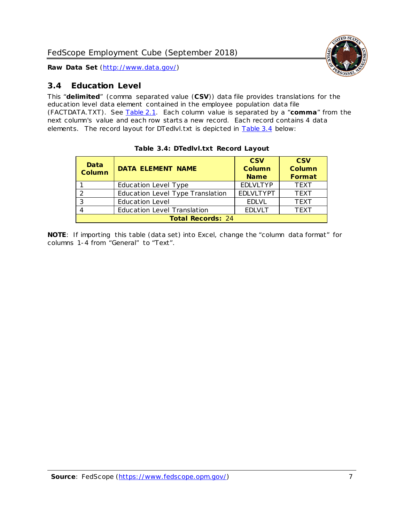

## <span id="page-7-0"></span>*3.4 Education Level*

This "**delimited**" (comma separated value (**CSV**)) data file provides translations for the education level data element contained in the employee population data file (FACTDATA.TXT). See [Table 2.1.](#page-4-0) Each column value is separated by a "**comma**" from the next column's value and each row starts a new record. Each record contains 4 data elements. The record layout for DTedlvl.txt is depicted in [Table 3.4](#page-7-1) below:

<span id="page-7-1"></span>

| Data<br><b>Column</b> | <b>DATA ELEMENT NAME</b>           | <b>CSV</b><br>Column<br><b>Name</b> | <b>CSV</b><br><b>Column</b><br>Format |  |  |  |
|-----------------------|------------------------------------|-------------------------------------|---------------------------------------|--|--|--|
|                       | Education Level Type               | <b>EDLVLTYP</b>                     | <b>TEXT</b>                           |  |  |  |
|                       | Education Level Type Translation   | <b>EDLVLTYPT</b>                    | <b>TEXT</b>                           |  |  |  |
| 3                     | <b>Education Level</b>             | <b>EDLVL</b>                        | <b>TEXT</b>                           |  |  |  |
|                       | <b>Education Level Translation</b> | <b>EDLVLT</b>                       | <b>TEXT</b>                           |  |  |  |
|                       | <b>Total Records: 24</b>           |                                     |                                       |  |  |  |

#### **Table 3.4: DTedlvl.txt Record Layout**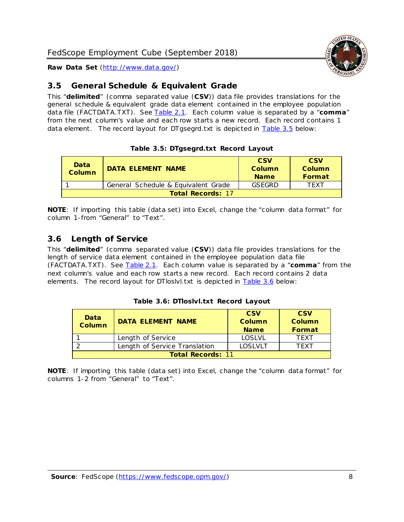

# <span id="page-8-0"></span>*3.5 General Schedule & Equivalent Grade*

This "**delimited**" (comma separated value (**CSV**)) data file provides translations for the general schedule & equivalent grade data element contained in the employee population data file (FACTDATA.TXT). See [Table 2.1.](#page-4-0) Each column value is separated by a "comma" from the next column's value and each row starts a new record. Each record contains 1 data element. The record layout for DTgsegrd.txt is depicted in [Table 3.5](#page-8-2) below:

<span id="page-8-2"></span>

| Data<br>Column           | DATA FI FMFNT NAMF                  | <b>CSV</b><br>Column<br><b>Name</b> | <b>CSV</b><br>Column<br>Format |  |  |
|--------------------------|-------------------------------------|-------------------------------------|--------------------------------|--|--|
|                          | General Schedule & Equivalent Grade | <b>GSFGRD</b>                       | TFXT                           |  |  |
| <b>Total Records: 17</b> |                                     |                                     |                                |  |  |

#### **Table 3.5: DTgsegrd.txt Record Layout**

**NOTE**: If importing this table (data set) into Excel, change the "column data format" for column 1-from "General" to "Text".

### <span id="page-8-1"></span>*3.6 Length of Service*

This "**delimited**" (comma separated value (**CSV**)) data file provides translations for the length of service data element contained in the employee population data file (FACTDATA.TXT). See [Table 2.1.](#page-4-0) Each column value is separated by a "**comma**" from the next column's value and each row starts a new record. Each record contains 2 data elements. The record layout for DTloslvl.txt is depicted in [Table 3.6](#page-8-3) below:

| Table 3.6: DTloslvl.txt Record Layout |  |  |  |  |  |
|---------------------------------------|--|--|--|--|--|
|---------------------------------------|--|--|--|--|--|

<span id="page-8-3"></span>

| Data<br><b>Column</b>    | <b>DATA ELEMENT NAME</b>      | <b>CSV</b><br><b>Column</b><br><b>Name</b> | <b>CSV</b><br><b>Column</b><br><b>Format</b> |  |  |
|--------------------------|-------------------------------|--------------------------------------------|----------------------------------------------|--|--|
|                          | Length of Service             | <b>LOSLVL</b>                              | <b>TFXT</b>                                  |  |  |
|                          | Length of Service Translation | LOSLVLT                                    | TFXT                                         |  |  |
| <b>Total Records: 11</b> |                               |                                            |                                              |  |  |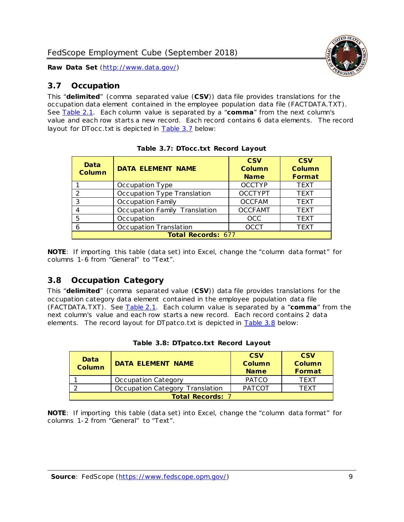

# <span id="page-9-0"></span>*3.7 Occupation*

This "**delimited**" (comma separated value (**CSV**)) data file provides translations for the occupation data element contained in the employee population data file (FACTDATA.TXT). See [Table 2.1.](#page-4-0) Each column value is separated by a "**comma**" from the next column's value and each row starts a new record. Each record contains 6 data elements. The record layout for DTocc .txt is depicted in [Table 3.7](#page-9-2) below:

<span id="page-9-2"></span>

| Data<br><b>Column</b> | <b>DATA ELEMENT NAME</b>      | <b>CSV</b><br><b>Column</b><br><b>Name</b> | <b>CSV</b><br>Column<br>Format |
|-----------------------|-------------------------------|--------------------------------------------|--------------------------------|
|                       | Occupation Type               | <b>OCCTYP</b>                              | <b>TEXT</b>                    |
| $\mathcal{P}$         | Occupation Type Translation   | <b>OCCTYPT</b>                             | <b>TEXT</b>                    |
| 3                     | Occupation Family             | <b>OCCFAM</b>                              | <b>TEXT</b>                    |
|                       | Occupation Family Translation | <b>OCCFAMT</b>                             | <b>TEXT</b>                    |
| 5                     | Occupation                    | <b>OCC</b>                                 | <b>TEXT</b>                    |
| 6                     | Occupation Translation        | <b>OCCT</b>                                | <b>TEXT</b>                    |
|                       | <b>Total Records: 677</b>     |                                            |                                |

|  |  |  | Table 3.7: DTocc.txt Record Layout |  |  |
|--|--|--|------------------------------------|--|--|
|--|--|--|------------------------------------|--|--|

**NOTE**: If importing this table (data set) into Excel, change the "column data format" for columns 1-6 from "General" to "Text".

### <span id="page-9-1"></span>*3.8 Occupation Category*

This "**delimited**" (comma separated value (**CSV**)) data file provides translations for the occupation category data element contained in the employee population data file (FACTDATA.TXT). See [Table 2.1.](#page-4-0) Each column value is separated by a "**comma**" from the next column's value and each row starts a new record. Each record contains 2 data elements. The record layout for DTpatco.txt is depicted in [Table 3.8](#page-9-3) below:

<span id="page-9-3"></span>

| Data<br><b>Column</b>   | <b>DATA ELEMENT NAME</b>        | <b>CSV</b><br>Column<br><b>Name</b> | <b>CSV</b><br><b>Column</b><br>Format |  |
|-------------------------|---------------------------------|-------------------------------------|---------------------------------------|--|
|                         | Occupation Category             | <b>PATCO</b>                        | <b>TFXT</b>                           |  |
|                         | Occupation Category Translation | <b>PATCOT</b>                       | TFXT                                  |  |
| <b>Total Records: 7</b> |                                 |                                     |                                       |  |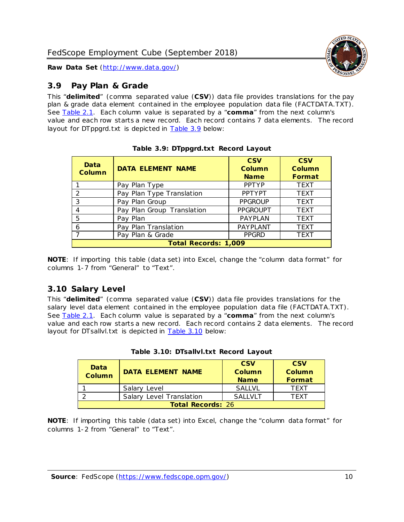

# <span id="page-10-0"></span>*3.9 Pay Plan & Grade*

This "**delimited**" (comma separated value (**CSV**)) data file provides translations for the pay plan & grade data element contained in the employee population data file (FACTDATA.TXT). See [Table 2.1.](#page-4-0) Each column value is separated by a "**comma**" from the next column's value and each row starts a new record. Each record contains 7 data elements. The record layout for DTppgrd.txt is depicted in [Table 3.9](#page-10-2) below:

<span id="page-10-2"></span>

| Data<br><b>Column</b>       | <b>DATA ELEMENT NAME</b>   | <b>CSV</b><br><b>Column</b><br><b>Name</b> | <b>CSV</b><br><b>Column</b><br>Format |  |  |
|-----------------------------|----------------------------|--------------------------------------------|---------------------------------------|--|--|
|                             | Pay Plan Type              | <b>PPTYP</b>                               | <b>TEXT</b>                           |  |  |
| 2                           | Pay Plan Type Translation  | <b>PPTYPT</b>                              | <b>TEXT</b>                           |  |  |
| 3                           | Pay Plan Group             | <b>PPGROUP</b>                             | <b>TEXT</b>                           |  |  |
| 4                           | Pay Plan Group Translation | <b>PPGROUPT</b>                            | <b>TEXT</b>                           |  |  |
| 5                           | Pay Plan                   | PAYPLAN                                    | <b>TEXT</b>                           |  |  |
| 6                           | Pay Plan Translation       | PAYPLANT                                   | <b>TEXT</b>                           |  |  |
|                             | Pay Plan & Grade           | <b>PPGRD</b>                               | <b>TEXT</b>                           |  |  |
| <b>Total Records: 1,009</b> |                            |                                            |                                       |  |  |

|  | Table 3.9: DTppgrd.txt Record Layout |  |
|--|--------------------------------------|--|
|  |                                      |  |

**NOTE**: If importing this table (data set) into Excel, change the "column data format" for columns 1-7 from "General" to "Text".

### <span id="page-10-1"></span>*3.10 Salary Level*

This "**delimited**" (comma separated value (**CSV**)) data file provides translations for the salary level data element contained in the employee population data file (FACTDATA.TXT). See [Table 2.1.](#page-4-0) Each column value is separated by a "**comma**" from the next column's value and each row starts a new record. Each record contains 2 data elements. The record layout for DTsallvl.txt is depicted in **Table 3.10** below:

<span id="page-10-3"></span>

| Data<br><b>Column</b>    | <b>DATA ELEMENT NAME</b> | <b>CSV</b><br>Column<br><b>Name</b> | <b>CSV</b><br>Column<br>Format |  |
|--------------------------|--------------------------|-------------------------------------|--------------------------------|--|
|                          | Salary Level             | <b>SALLVL</b>                       | <b>TFXT</b>                    |  |
|                          | Salary Level Translation | SAI I VI T                          | TFXT                           |  |
| <b>Total Records: 26</b> |                          |                                     |                                |  |

|  |  | Table 3.10: DTsallvl.txt Record Layout |  |  |
|--|--|----------------------------------------|--|--|
|--|--|----------------------------------------|--|--|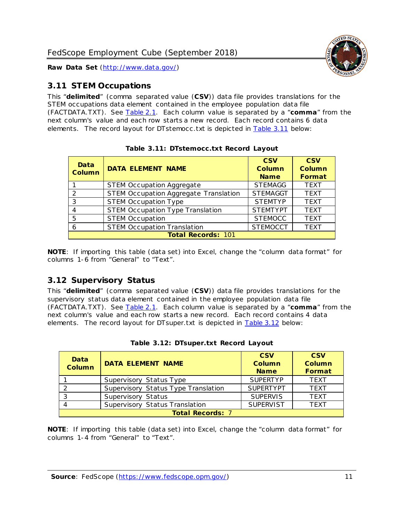

# <span id="page-11-0"></span>*3.11 STEM Occupations*

This "**delimited**" (comma separated value (**CSV**)) data file provides translations for the STEM occupations data element contained in the employee population data file (FACTDATA.TXT). See [Table 2.1.](#page-4-0) Each column value is separated by a "**comma**" from the next column's value and each row starts a new record. Each record contains 6 data elements. The record layout for DTstemocc .txt is depicted in [Table 3.11](#page-11-2) below:

<span id="page-11-2"></span>

| Data<br><b>Column</b> | <b>DATA ELEMENT NAME</b>                | <b>CSV</b><br><b>Column</b><br><b>Name</b> | <b>CSV</b><br><b>Column</b><br>Format |
|-----------------------|-----------------------------------------|--------------------------------------------|---------------------------------------|
|                       | <b>STEM Occupation Aggregate</b>        | <b>STEMAGG</b>                             | <b>TEXT</b>                           |
| $\mathcal{P}$         | STEM Occupation Aggregate Translation   | <b>STEMAGGT</b>                            | <b>TEXT</b>                           |
| 3                     | <b>STEM Occupation Type</b>             | <b>STEMTYP</b>                             | <b>TEXT</b>                           |
|                       | <b>STEM Occupation Type Translation</b> | <b>STEMTYPT</b>                            | <b>TEXT</b>                           |
| 5                     | <b>STEM Occupation</b>                  | <b>STEMOCC</b>                             | <b>TEXT</b>                           |
| 6                     | <b>STEM Occupation Translation</b>      | <b>STEMOCCT</b>                            | <b>TEXT</b>                           |
|                       | <b>Total Records: 101</b>               |                                            |                                       |

**Table 3.11: DTstemocc.txt Record Layout**

**NOTE**: If importing this table (data set) into Excel, change the "column data format" for columns 1-6 from "General" to "Text".

# <span id="page-11-1"></span>*3.12 Supervisory Status*

This "**delimited**" (comma separated value (**CSV**)) data file provides translations for the supervisory status data element contained in the employee population data file (FACTDATA.TXT). See [Table 2.1.](#page-4-0) Each column value is separated by a "**comma**" from the next column's value and each row starts a new record. Each record contains 4 data elements. The record layout for DTsuper.txt is depicted in **Table 3.12** below:

<span id="page-11-3"></span>

| Data<br><b>Column</b>   | <b>DATA ELEMENT NAME</b>            | <b>CSV</b><br>Column<br><b>Name</b> | <b>CSV</b><br><b>Column</b><br>Format |  |  |
|-------------------------|-------------------------------------|-------------------------------------|---------------------------------------|--|--|
|                         | Supervisory Status Type             | <b>SUPERTYP</b>                     | <b>TEXT</b>                           |  |  |
|                         | Supervisory Status Type Translation | <b>SUPERTYPT</b>                    | <b>TEXT</b>                           |  |  |
|                         | Supervisory Status                  | <b>SUPERVIS</b>                     | <b>TEXT</b>                           |  |  |
|                         | Supervisory Status Translation      | <b>SUPERVIST</b>                    | <b>TEXT</b>                           |  |  |
| <b>Total Records: 7</b> |                                     |                                     |                                       |  |  |

|  | Table 3.12: DTsuper.txt Record Layout |  |
|--|---------------------------------------|--|
|  |                                       |  |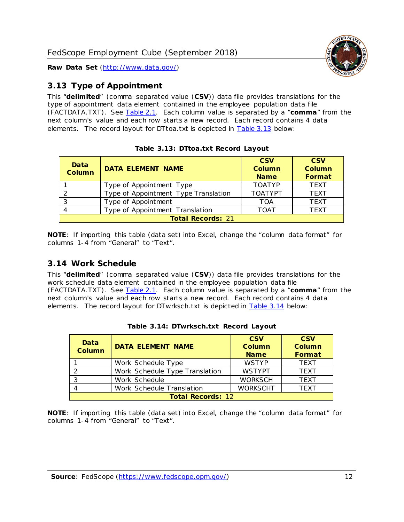

# <span id="page-12-0"></span>*3.13 Type of Appointment*

This "**delimited**" (comma separated value (**CSV**)) data file provides translations for the type of appointment data element contained in the employee population data file (FACTDATA.TXT). See [Table 2.1.](#page-4-0) Each column value is separated by a "**comma**" from the next column's value and each row starts a new record. Each record contains 4 data elements. The record layout for DTtoa.txt is depicted in [Table 3.13](#page-12-2) below:

<span id="page-12-2"></span>

| Data<br><b>Column</b>    | <b>DATA ELEMENT NAME</b>             | <b>CSV</b><br>Column<br><b>Name</b> | <b>CSV</b><br>Column<br>Format |
|--------------------------|--------------------------------------|-------------------------------------|--------------------------------|
|                          | Type of Appointment Type             | <b>TOATYP</b>                       | <b>TEXT</b>                    |
| 2                        | Type of Appointment Type Translation | <b>TOATYPT</b>                      | <b>TEXT</b>                    |
| 3                        | Type of Appointment                  | TOA                                 | <b>TEXT</b>                    |
|                          | Type of Appointment Translation      | <b>TOAT</b>                         | <b>TEXT</b>                    |
| <b>Total Records: 21</b> |                                      |                                     |                                |

|  | Table 3.13: DTtoa.txt Record Layout |  |
|--|-------------------------------------|--|
|  |                                     |  |

**NOTE**: If importing this table (data set) into Excel, change the "column data format" for columns 1-4 from "General" to "Text".

# <span id="page-12-1"></span>*3.14 Work Schedule*

This "**delimited**" (comma separated value (**CSV**)) data file provides translations for the work schedule data element contained in the employee population data file (FACTDATA.TXT). See [Table 2.1.](#page-4-0) Each column value is separated by a "**comma**" from the next column's value and each row starts a new record. Each record contains 4 data elements. The record layout for DTwrksch.txt is depicted in [Table 3.14](#page-12-3) below:

<span id="page-12-3"></span>

| Data<br>Column           | <b>DATA ELEMENT NAME</b>       | <b>CSV</b><br><b>Column</b><br><b>Name</b> | <b>CSV</b><br><b>Column</b><br>Format |
|--------------------------|--------------------------------|--------------------------------------------|---------------------------------------|
|                          | Work Schedule Type             | <b>WSTYP</b>                               | <b>TFXT</b>                           |
| $\mathcal{P}$            | Work Schedule Type Translation | <b>WSTYPT</b>                              | <b>TEXT</b>                           |
| -3                       | Work Schedule                  | <b>WORKSCH</b>                             | <b>TEXT</b>                           |
|                          | Work Schedule Translation      | <b>WORKSCHT</b>                            | <b>TEXT</b>                           |
| <b>Total Records: 12</b> |                                |                                            |                                       |

**Table 3.14: DTwrksch.txt Record Layout**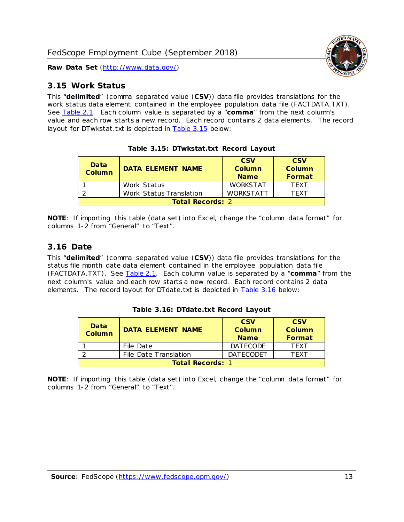

#### <span id="page-13-0"></span>*3.15 Work Status*

This "**delimited**" (comma separated value (**CSV**)) data file provides translations for the work status data element contained in the employee population data file (FACTDATA.TXT). See [Table 2.1.](#page-4-0) Each column value is separated by a "**comma**" from the next column's value and each row starts a new record. Each record contains 2 data elements. The record layout for DTwkstat.txt is depicted in [Table 3.15](#page-13-2) below:

<span id="page-13-2"></span>

| Data<br>Column          | DATA FI FMFNT NAMF      | <b>CSV</b><br>Column<br><b>Name</b> | <b>CSV</b><br><b>Column</b><br>Format |
|-------------------------|-------------------------|-------------------------------------|---------------------------------------|
|                         | Work Status             | <b>WORKSTAT</b>                     | <b>TFXT</b>                           |
|                         | Work Status Translation | <b>WORKSTATT</b>                    | TFXT                                  |
| <b>Total Records: 2</b> |                         |                                     |                                       |

**Table 3.15: DTwkstat.txt Record Layout**

**NOTE**: If importing this table (data set) into Excel, change the "column data format" for columns 1-2 from "General" to "Text".

#### <span id="page-13-1"></span>*3.16 Date*

This "**delimited**" (comma separated value (**CSV**)) data file provides translations for the status file month date data element contained in the employee population data file (FACTDATA.TXT). See [Table 2.1.](#page-4-0) Each column value is separated by a "**comma**" from the next column's value and each row starts a new record. Each record contains 2 data elements. The record layout for DTdate.txt is depicted in [Table 3.16](#page-13-3) below:

<span id="page-13-3"></span>

| Data<br><b>Column</b>   | DATA ELEMENT NAME     | <b>CSV</b><br>Column<br><b>Name</b> | <b>CSV</b><br>Column<br>Format |
|-------------------------|-----------------------|-------------------------------------|--------------------------------|
|                         | File Date             | <b>DATECODE</b>                     | <b>TFXT</b>                    |
|                         | File Date Translation | <b>DATECODET</b>                    | TFXT                           |
| <b>Total Records: 1</b> |                       |                                     |                                |

**Table 3.16: DTdate.txt Record Layout**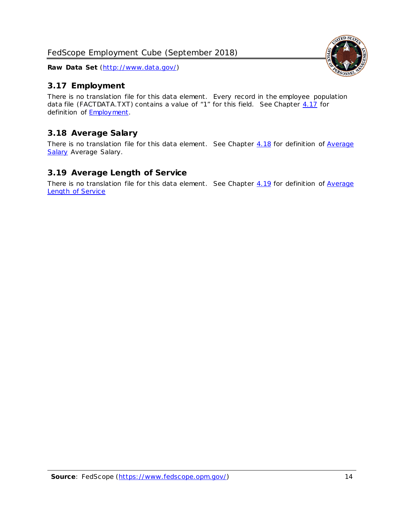

# <span id="page-14-0"></span>*3.17 Employment*

There is no translation file for this data element. Every record in the employee population data file (FACTDATA.TXT) contains a value of "1" for this field. See Chapter [4.17](#page-16-8) for definition of **Employment**.

# <span id="page-14-1"></span>*3.18 Average Salary*

There is no translation file for this data element. See Chapter [4.18](#page-17-1) for definition of Average [Salary](#page-17-1) [Average Salary.](#page-17-1)

# <span id="page-14-2"></span>*3.19 Average Length of Service*

There is no translation file for this data element. See Chapter  $4.19$  for definition of Average [Length of Service](#page-17-2)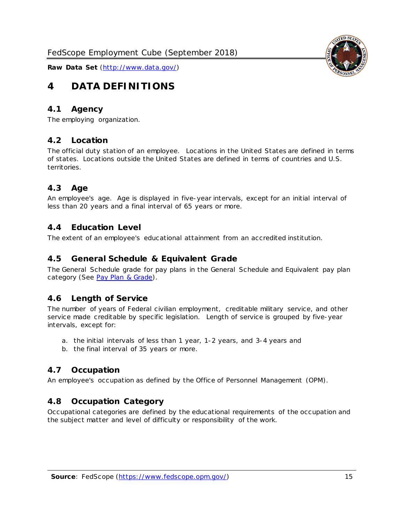<span id="page-15-0"></span>

## <span id="page-15-1"></span>*4.1 Agency*

<span id="page-15-2"></span>The employing organization.

#### *4.2 Location*

The official duty station of an employee. Locations in the United States are defined in terms of states. Locations outside the United States are defined in terms of countries and U.S. territories.

# <span id="page-15-3"></span>*4.3 Age*

An employee's age. Age is displayed in five-year intervals, except for an initial interval of less than 20 years and a final interval of 65 years or more.

#### <span id="page-15-4"></span>*4.4 Education Level*

<span id="page-15-5"></span>The extent of an employee's educational attainment from an accredited institution.

#### *4.5 General Schedule & Equivalent Grade*

The General Schedule grade for pay plans in the General Schedule and Equivalent pay plan category (See [Pay Plan & Grade\)](#page-16-0).

#### <span id="page-15-6"></span>*4.6 Length of Service*

The number of years of Federal civilian employment, creditable military service, and other service made creditable by specific legislation. Length of service is grouped by five-year intervals, except for:

- a. the initial intervals of less than 1 year, 1-2 years, and 3-4 years and
- b. the final interval of 35 years or more.

### <span id="page-15-7"></span>*4.7 Occupation*

<span id="page-15-8"></span>An employee's occupation as defined by the Office of Personnel Management (OPM).

### *4.8 Occupation Category*

Occupational categories are defined by the educational requirements of the occupation and the subject matter and level of difficulty or responsibility of the work.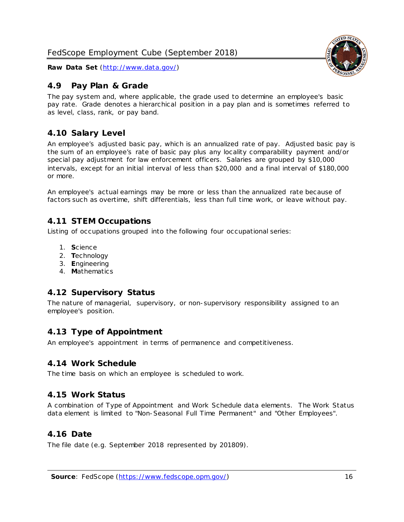## <span id="page-16-0"></span>*4.9 Pay Plan & Grade*

The pay system and, where applicable, the grade used to determine an employee's basic pay rate. Grade denotes a hierarchical position in a pay plan and is sometimes referred to as level, class, rank, or pay band.

# <span id="page-16-1"></span>*4.10 Salary Level*

An employee's adjusted basic pay, which is an annualized rate of pay. Adjusted basic pay is the sum of an employee's rate of basic pay plus any locality comparability payment and/or special pay adjustment for law enforcement officers. Salaries are grouped by \$10,000 intervals, except for an initial interval of less than \$20,000 and a final interval of \$180,000 or more.

An employee's actual earnings may be more or less than the annualized rate because of factors such as overtime, shift differentials, less than full time work, or leave without pay.

# <span id="page-16-2"></span>*4.11 STEM Occupations*

Listing of occupations grouped into the following four occupational series:

- 1. **S**cience
- 2. **T**echnology
- 3. **E**ngineering
- 4. **M**athematics

### <span id="page-16-3"></span>*4.12 Supervisory Status*

The nature of managerial, supervisory, or non-supervisory responsibility assigned to an employee's position.

### <span id="page-16-4"></span>*4.13 Type of Appointment*

<span id="page-16-5"></span>An employee's appointment in terms of permanence and competitiveness.

#### *4.14 Work Schedule*

<span id="page-16-6"></span>The time basis on which an employee is scheduled to work.

### *4.15 Work Status*

A combination of Type of Appointment and Work Schedule data elements. The Work Status data element is limited to "Non-Seasonal Full Time Permanent" and "Other Employees".

### <span id="page-16-7"></span>*4.16 Date*

<span id="page-16-8"></span>The file date (e.g. September 2018 represented by 201809).

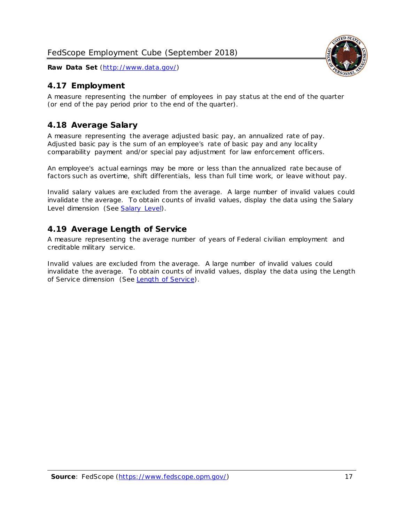# <span id="page-17-0"></span>*4.17 Employment*

A measure representing the number of employees in pay status at the end of the quarter (or end of the pay period prior to the end of the quarter).

# <span id="page-17-1"></span>*4.18 Average Salary*

A measure representing the average adjusted basic pay, an annualized rate of pay. Adjusted basic pay is the sum of an employee's rate of basic pay and any locality comparability payment and/or special pay adjustment for law enforcement officers.

An employee's actual earnings may be more or less than the annualized rate because of factors such as overtime, shift differentials, less than full time work, or leave without pay.

Invalid salary values are excluded from the average. A large number of invalid values could invalidate the average. To obtain counts of invalid values, display the data using the Salary Level dimension (See [Salary Level\)](#page-16-1).

### <span id="page-17-2"></span>*4.19 Average Length of Service*

A measure representing the average number of years of Federal civilian employment and creditable military service.

Invalid values are excluded from the average. A large number of invalid values could invalidate the average. To obtain counts of invalid values, display the data using the Length of Service dimension (See [Length of Service\)](#page-15-6).